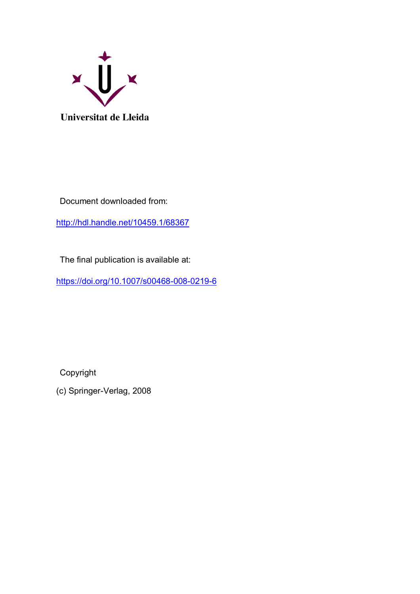

Document downloaded from:

<http://hdl.handle.net/10459.1/68367>

The final publication is available at:

<https://doi.org/10.1007/s00468-008-0219-6>

Copyright

(c) Springer-Verlag, 2008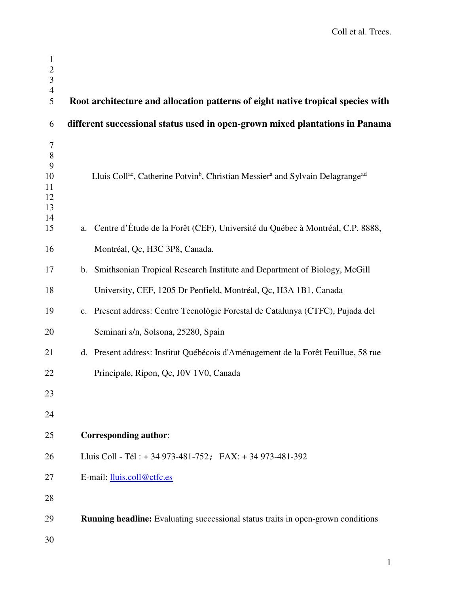| $\mathbf{1}$<br>$\frac{2}{3}$<br>$\overline{4}$<br>5 | Root architecture and allocation patterns of eight native tropical species with                                                |
|------------------------------------------------------|--------------------------------------------------------------------------------------------------------------------------------|
| 6                                                    | different successional status used in open-grown mixed plantations in Panama                                                   |
| $\tau$<br>8<br>9<br>10<br>11<br>12<br>13<br>14       | Lluis Coll <sup>ac</sup> , Catherine Potvin <sup>b</sup> , Christian Messier <sup>a</sup> and Sylvain Delagrange <sup>ad</sup> |
| 15                                                   | a. Centre d'Étude de la Forêt (CEF), Université du Québec à Montréal, C.P. 8888,                                               |
| 16                                                   | Montréal, Qc, H3C 3P8, Canada.                                                                                                 |
| 17                                                   | b. Smithsonian Tropical Research Institute and Department of Biology, McGill                                                   |
| 18                                                   | University, CEF, 1205 Dr Penfield, Montréal, Qc, H3A 1B1, Canada                                                               |
| 19                                                   | c. Present address: Centre Tecnològic Forestal de Catalunya (CTFC), Pujada del                                                 |
| 20                                                   | Seminari s/n, Solsona, 25280, Spain                                                                                            |
| 21                                                   | d. Present address: Institut Québécois d'Aménagement de la Forêt Feuillue, 58 rue                                              |
| 22                                                   | Principale, Ripon, Qc, J0V 1V0, Canada                                                                                         |
| 23                                                   |                                                                                                                                |
| 24                                                   |                                                                                                                                |
| 25                                                   | <b>Corresponding author:</b>                                                                                                   |
| 26                                                   | Lluis Coll - Tél : + 34 973-481-752; FAX: + 34 973-481-392                                                                     |
| 27                                                   | E-mail: lluis.coll@ctfc.es                                                                                                     |
| 28                                                   |                                                                                                                                |
| 29                                                   | Running headline: Evaluating successional status traits in open-grown conditions                                               |
| 30                                                   |                                                                                                                                |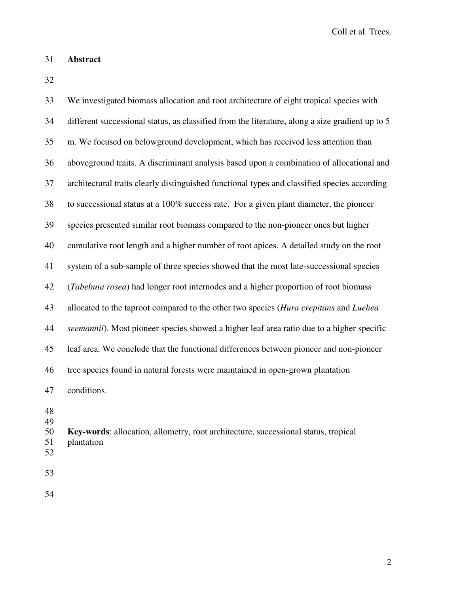## 31 **Abstract**

32

33 We investigated biomass allocation and root architecture of eight tropical species with 34 different successional status, as classified from the literature, along a size gradient up to 5 35 m. We focused on belowground development, which has received less attention than 36 aboveground traits. A discriminant analysis based upon a combination of allocational and 37 architectural traits clearly distinguished functional types and classified species according 38 to successional status at a 100% success rate. For a given plant diameter, the pioneer 39 species presented similar root biomass compared to the non-pioneer ones but higher 40 cumulative root length and a higher number of root apices. A detailed study on the root 41 system of a sub-sample of three species showed that the most late-successional species 42 (*Tabebuia rosea*) had longer root internodes and a higher proportion of root biomass 43 allocated to the taproot compared to the other two species (*Hura crepitans* and *Luehea*  44 *seemannii*). Most pioneer species showed a higher leaf area ratio due to a higher specific 45 leaf area. We conclude that the functional differences between pioneer and non-pioneer 46 tree species found in natural forests were maintained in open-grown plantation 47 conditions.

- 48
- 49
- 50 **Key-words**: allocation, allometry, root architecture, successional status, tropical 51 plantation
- 52
- 53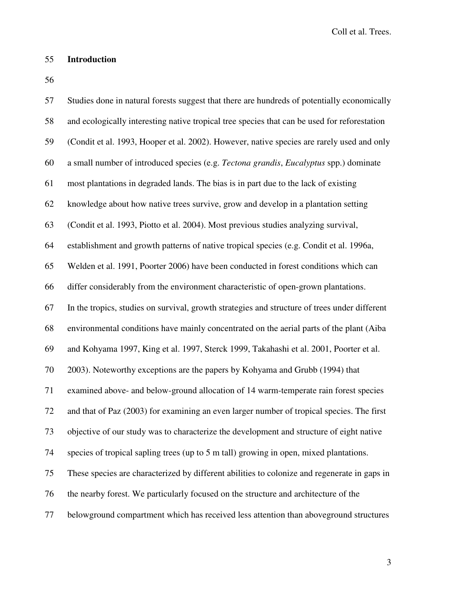## 55 **Introduction**

56

| 57 | Studies done in natural forests suggest that there are hundreds of potentially economically   |
|----|-----------------------------------------------------------------------------------------------|
| 58 | and ecologically interesting native tropical tree species that can be used for reforestation  |
| 59 | (Condit et al. 1993, Hooper et al. 2002). However, native species are rarely used and only    |
| 60 | a small number of introduced species (e.g. Tectona grandis, Eucalyptus spp.) dominate         |
| 61 | most plantations in degraded lands. The bias is in part due to the lack of existing           |
| 62 | knowledge about how native trees survive, grow and develop in a plantation setting            |
| 63 | (Condit et al. 1993, Piotto et al. 2004). Most previous studies analyzing survival,           |
| 64 | establishment and growth patterns of native tropical species (e.g. Condit et al. 1996a,       |
| 65 | Welden et al. 1991, Poorter 2006) have been conducted in forest conditions which can          |
| 66 | differ considerably from the environment characteristic of open-grown plantations.            |
| 67 | In the tropics, studies on survival, growth strategies and structure of trees under different |
| 68 | environmental conditions have mainly concentrated on the aerial parts of the plant (Aiba      |
| 69 | and Kohyama 1997, King et al. 1997, Sterck 1999, Takahashi et al. 2001, Poorter et al.        |
| 70 | 2003). Noteworthy exceptions are the papers by Kohyama and Grubb (1994) that                  |
| 71 | examined above- and below-ground allocation of 14 warm-temperate rain forest species          |
| 72 | and that of Paz (2003) for examining an even larger number of tropical species. The first     |
| 73 | objective of our study was to characterize the development and structure of eight native      |
| 74 | species of tropical sapling trees (up to 5 m tall) growing in open, mixed plantations.        |
| 75 | These species are characterized by different abilities to colonize and regenerate in gaps in  |
| 76 | the nearby forest. We particularly focused on the structure and architecture of the           |
| 77 | belowground compartment which has received less attention than above ground structures        |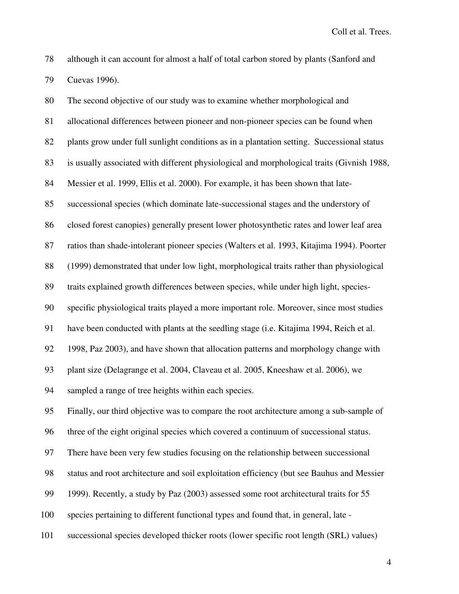78 although it can account for almost a half of total carbon stored by plants (Sanford and 79 Cuevas 1996).

80 The second objective of our study was to examine whether morphological and 81 allocational differences between pioneer and non-pioneer species can be found when 82 plants grow under full sunlight conditions as in a plantation setting. Successional status 83 is usually associated with different physiological and morphological traits (Givnish 1988, 84 Messier et al. 1999, Ellis et al. 2000). For example, it has been shown that late-85 successional species (which dominate late-successional stages and the understory of 86 closed forest canopies) generally present lower photosynthetic rates and lower leaf area 87 ratios than shade-intolerant pioneer species (Walters et al. 1993, Kitajima 1994). Poorter 88 (1999) demonstrated that under low light, morphological traits rather than physiological 89 traits explained growth differences between species, while under high light, species-90 specific physiological traits played a more important role. Moreover, since most studies 91 have been conducted with plants at the seedling stage (i.e. Kitajima 1994, Reich et al. 92 1998, Paz 2003), and have shown that allocation patterns and morphology change with 93 plant size (Delagrange et al. 2004, Claveau et al. 2005, Kneeshaw et al. 2006), we 94 sampled a range of tree heights within each species. 95 Finally, our third objective was to compare the root architecture among a sub-sample of 96 three of the eight original species which covered a continuum of successional status. 97 There have been very few studies focusing on the relationship between successional 98 status and root architecture and soil exploitation efficiency (but see Bauhus and Messier 99 1999). Recently, a study by Paz (2003) assessed some root architectural traits for 55 100 species pertaining to different functional types and found that, in general, late - 101 successional species developed thicker roots (lower specific root length (SRL) values)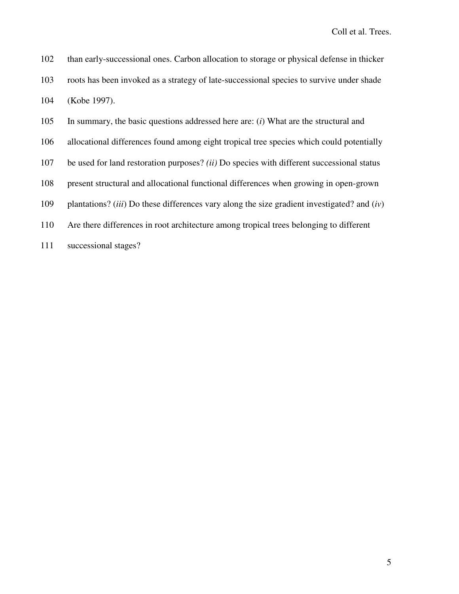| 102 | than early-successional ones. Carbon allocation to storage or physical defense in thicker                     |
|-----|---------------------------------------------------------------------------------------------------------------|
| 103 | roots has been invoked as a strategy of late-successional species to survive under shade                      |
| 104 | (Kobe 1997).                                                                                                  |
| 105 | In summary, the basic questions addressed here are: $(i)$ What are the structural and                         |
| 106 | allocational differences found among eight tropical tree species which could potentially                      |
| 107 | be used for land restoration purposes? <i>(ii)</i> Do species with different successional status              |
| 108 | present structural and allocational functional differences when growing in open-grown                         |
| 109 | plantations? ( <i>iii</i> ) Do these differences vary along the size gradient investigated? and ( <i>iv</i> ) |
| 110 | Are there differences in root architecture among tropical trees belonging to different                        |
| 111 | successional stages?                                                                                          |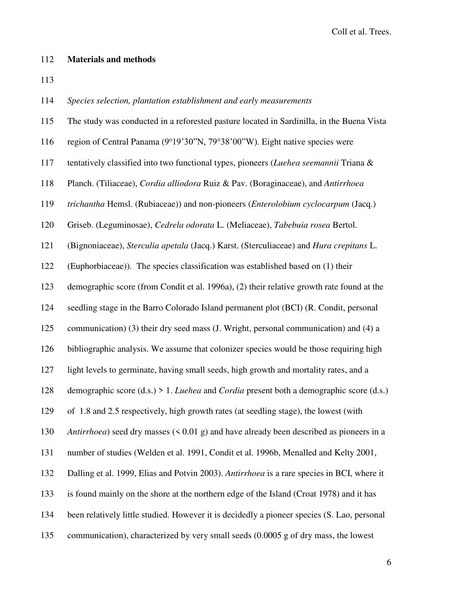#### 112 **Materials and methods**

113

114 *Species selection, plantation establishment and early measurements* 

115 The study was conducted in a reforested pasture located in Sardinilla, in the Buena Vista

- 116 region of Central Panama (9°19'30"N, 79°38'00"W). Eight native species were
- 117 tentatively classified into two functional types, pioneers (*Luehea seemannii* Triana &
- 118 Planch. (Tiliaceae), *Cordia alliodora* Ruiz & Pav. (Boraginaceae), and *Antirrhoea*
- 119 *trichantha* Hemsl. (Rubiaceae)) and non-pioneers (*Enterolobium cyclocarpum* (Jacq.)
- 120 Griseb. (Leguminosae), *Cedrela odorata* L. (Meliaceae), *Tabebuia rosea* Bertol.
- 121 (Bignoniaceae), *Sterculia apetala* (Jacq.) Karst. (Sterculiaceae) and *Hura crepitans* L.

122 (Euphorbiaceae)). The species classification was established based on (1) their

123 demographic score (from Condit et al. 1996a), (2) their relative growth rate found at the

124 seedling stage in the Barro Colorado Island permanent plot (BCI) (R. Condit, personal

125 communication) (3) their dry seed mass (J. Wright, personal communication) and (4) a

126 bibliographic analysis. We assume that colonizer species would be those requiring high

- 127 light levels to germinate, having small seeds, high growth and mortality rates, and a
- 128 demographic score (d.s.) > 1. *Luehea* and *Cordia* present both a demographic score (d.s.)

129 of 1.8 and 2.5 respectively, high growth rates (at seedling stage), the lowest (with

130 *Antirrhoea*) seed dry masses (< 0.01 g) and have already been described as pioneers in a

- 131 number of studies (Welden et al. 1991, Condit et al. 1996b, Menalled and Kelty 2001,
- 132 Dalling et al. 1999, Elias and Potvin 2003). *Antirrhoea* is a rare species in BCI, where it

133 is found mainly on the shore at the northern edge of the Island (Croat 1978) and it has

- 134 been relatively little studied. However it is decidedly a pioneer species (S. Lao, personal
- 135 communication), characterized by very small seeds (0.0005 g of dry mass, the lowest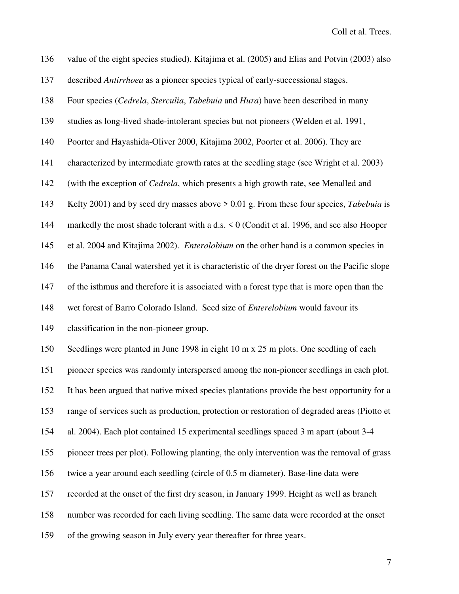136 value of the eight species studied). Kitajima et al. (2005) and Elias and Potvin (2003) also 137 described *Antirrhoea* as a pioneer species typical of early-successional stages. 138 Four species (*Cedrela*, *Sterculia*, *Tabebuia* and *Hura*) have been described in many 139 studies as long-lived shade-intolerant species but not pioneers (Welden et al. 1991, 140 Poorter and Hayashida-Oliver 2000, Kitajima 2002, Poorter et al. 2006). They are 141 characterized by intermediate growth rates at the seedling stage (see Wright et al. 2003) 142 (with the exception of *Cedrela*, which presents a high growth rate, see Menalled and 143 Kelty 2001) and by seed dry masses above > 0.01 g. From these four species, *Tabebuia* is 144 markedly the most shade tolerant with a d.s. < 0 (Condit et al. 1996, and see also Hooper 145 et al. 2004 and Kitajima 2002). *Enterolobium* on the other hand is a common species in 146 the Panama Canal watershed yet it is characteristic of the dryer forest on the Pacific slope 147 of the isthmus and therefore it is associated with a forest type that is more open than the 148 wet forest of Barro Colorado Island. Seed size of *Enterelobium* would favour its 149 classification in the non-pioneer group. 150 Seedlings were planted in June 1998 in eight 10 m x 25 m plots. One seedling of each 151 pioneer species was randomly interspersed among the non-pioneer seedlings in each plot. 152 It has been argued that native mixed species plantations provide the best opportunity for a 153 range of services such as production, protection or restoration of degraded areas (Piotto et 154 al. 2004). Each plot contained 15 experimental seedlings spaced 3 m apart (about 3-4 155 pioneer trees per plot). Following planting, the only intervention was the removal of grass 156 twice a year around each seedling (circle of 0.5 m diameter). Base-line data were 157 recorded at the onset of the first dry season, in January 1999. Height as well as branch 158 number was recorded for each living seedling. The same data were recorded at the onset 159 of the growing season in July every year thereafter for three years.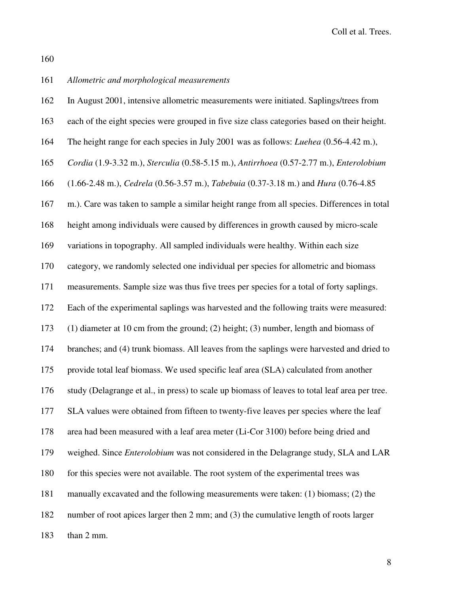160

# 161 *Allometric and morphological measurements*

| 162 | In August 2001, intensive allometric measurements were initiated. Saplings/trees from          |
|-----|------------------------------------------------------------------------------------------------|
| 163 | each of the eight species were grouped in five size class categories based on their height.    |
| 164 | The height range for each species in July 2001 was as follows: <i>Luehea</i> (0.56-4.42 m.),   |
| 165 | Cordia (1.9-3.32 m.), Sterculia (0.58-5.15 m.), Antirrhoea (0.57-2.77 m.), Enterolobium        |
| 166 | (1.66-2.48 m.), Cedrela (0.56-3.57 m.), Tabebuia (0.37-3.18 m.) and Hura (0.76-4.85            |
| 167 | m.). Care was taken to sample a similar height range from all species. Differences in total    |
| 168 | height among individuals were caused by differences in growth caused by micro-scale            |
| 169 | variations in topography. All sampled individuals were healthy. Within each size               |
| 170 | category, we randomly selected one individual per species for allometric and biomass           |
| 171 | measurements. Sample size was thus five trees per species for a total of forty saplings.       |
| 172 | Each of the experimental saplings was harvested and the following traits were measured:        |
| 173 | $(1)$ diameter at 10 cm from the ground; (2) height; (3) number, length and biomass of         |
| 174 | branches; and (4) trunk biomass. All leaves from the saplings were harvested and dried to      |
| 175 | provide total leaf biomass. We used specific leaf area (SLA) calculated from another           |
| 176 | study (Delagrange et al., in press) to scale up biomass of leaves to total leaf area per tree. |
| 177 | SLA values were obtained from fifteen to twenty-five leaves per species where the leaf         |
| 178 | area had been measured with a leaf area meter (Li-Cor 3100) before being dried and             |
| 179 | weighed. Since <i>Enterolobium</i> was not considered in the Delagrange study, SLA and LAR     |
| 180 | for this species were not available. The root system of the experimental trees was             |
| 181 | manually excavated and the following measurements were taken: (1) biomass; (2) the             |
| 182 | number of root apices larger then 2 mm; and (3) the cumulative length of roots larger          |
| 183 | than 2 mm.                                                                                     |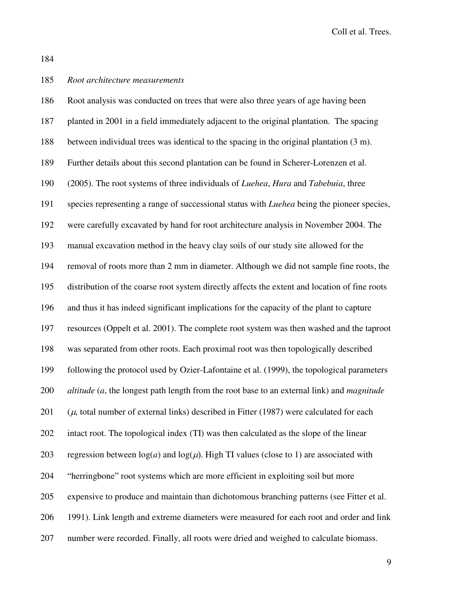184

## 185 *Root architecture measurements*

| 186 | Root analysis was conducted on trees that were also three years of age having been                             |
|-----|----------------------------------------------------------------------------------------------------------------|
| 187 | planted in 2001 in a field immediately adjacent to the original plantation. The spacing                        |
| 188 | between individual trees was identical to the spacing in the original plantation (3 m).                        |
| 189 | Further details about this second plantation can be found in Scherer-Lorenzen et al.                           |
| 190 | (2005). The root systems of three individuals of <i>Luehea</i> , <i>Hura</i> and <i>Tabebuia</i> , three       |
| 191 | species representing a range of successional status with <i>Luehea</i> being the pioneer species,              |
| 192 | were carefully excavated by hand for root architecture analysis in November 2004. The                          |
| 193 | manual excavation method in the heavy clay soils of our study site allowed for the                             |
| 194 | removal of roots more than 2 mm in diameter. Although we did not sample fine roots, the                        |
| 195 | distribution of the coarse root system directly affects the extent and location of fine roots                  |
| 196 | and thus it has indeed significant implications for the capacity of the plant to capture                       |
| 197 | resources (Oppelt et al. 2001). The complete root system was then washed and the taproot                       |
| 198 | was separated from other roots. Each proximal root was then topologically described                            |
| 199 | following the protocol used by Ozier-Lafontaine et al. (1999), the topological parameters                      |
| 200 | $\alpha$ altitude ( $a$ , the longest path length from the root base to an external link) and <i>magnitude</i> |
| 201 | $(\mu, \text{ total number of external links})$ described in Fitter (1987) were calculated for each            |
| 202 | intact root. The topological index (TI) was then calculated as the slope of the linear                         |
| 203 | regression between $log(a)$ and $log(\mu)$ . High TI values (close to 1) are associated with                   |
| 204 | "herringbone" root systems which are more efficient in exploiting soil but more                                |
| 205 | expensive to produce and maintain than dichotomous branching patterns (see Fitter et al.                       |
| 206 | 1991). Link length and extreme diameters were measured for each root and order and link                        |
| 207 | number were recorded. Finally, all roots were dried and weighed to calculate biomass.                          |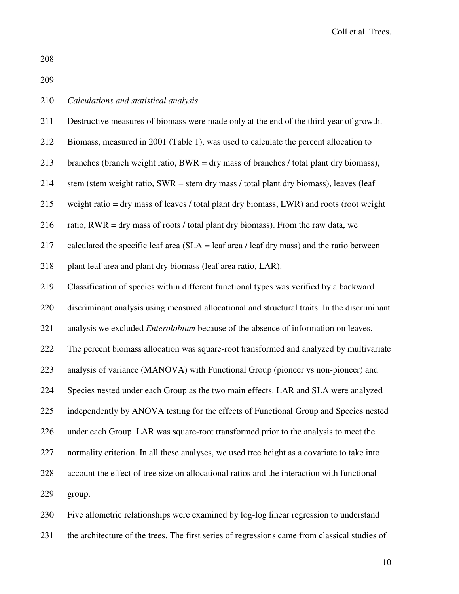208

209

| 210 | Calculations and statistical analysis |  |  |  |
|-----|---------------------------------------|--|--|--|
|-----|---------------------------------------|--|--|--|

| 211 | Destructive measures of biomass were made only at the end of the third year of growth.       |
|-----|----------------------------------------------------------------------------------------------|
| 212 | Biomass, measured in 2001 (Table 1), was used to calculate the percent allocation to         |
| 213 | branches (branch weight ratio, $BWR = dry$ mass of branches / total plant dry biomass),      |
| 214 | stem (stem weight ratio, SWR = stem dry mass / total plant dry biomass), leaves (leaf        |
| 215 | weight ratio $=$ dry mass of leaves / total plant dry biomass, LWR) and roots (root weight   |
| 216 | ratio, $RWR = dry$ mass of roots / total plant dry biomass). From the raw data, we           |
| 217 | calculated the specific leaf area ( $SLA =$ leaf area / leaf dry mass) and the ratio between |
| 218 | plant leaf area and plant dry biomass (leaf area ratio, LAR).                                |
| 219 | Classification of species within different functional types was verified by a backward       |
| 220 | discriminant analysis using measured allocational and structural traits. In the discriminant |
| 221 | analysis we excluded <i>Enterolobium</i> because of the absence of information on leaves.    |
| 222 | The percent biomass allocation was square-root transformed and analyzed by multivariate      |
| 223 | analysis of variance (MANOVA) with Functional Group (pioneer vs non-pioneer) and             |
| 224 | Species nested under each Group as the two main effects. LAR and SLA were analyzed           |
| 225 | independently by ANOVA testing for the effects of Functional Group and Species nested        |
| 226 | under each Group. LAR was square-root transformed prior to the analysis to meet the          |
| 227 | normality criterion. In all these analyses, we used tree height as a covariate to take into  |
| 228 | account the effect of tree size on allocational ratios and the interaction with functional   |
| 229 | group.                                                                                       |
|     |                                                                                              |

230 Five allometric relationships were examined by log-log linear regression to understand 231 the architecture of the trees. The first series of regressions came from classical studies of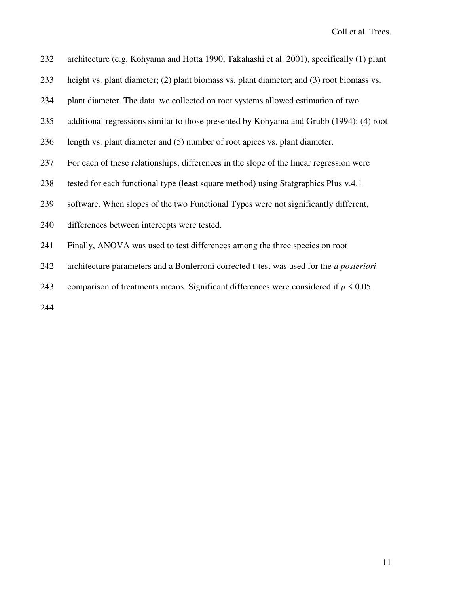| 232 | architecture (e.g. Kohyama and Hotta 1990, Takahashi et al. 2001), specifically (1) plant |
|-----|-------------------------------------------------------------------------------------------|
| 233 | height vs. plant diameter; (2) plant biomass vs. plant diameter; and (3) root biomass vs. |
| 234 | plant diameter. The data we collected on root systems allowed estimation of two           |
| 235 | additional regressions similar to those presented by Kohyama and Grubb (1994): (4) root   |
| 236 | length vs. plant diameter and (5) number of root apices vs. plant diameter.               |
| 237 | For each of these relationships, differences in the slope of the linear regression were   |
| 238 | tested for each functional type (least square method) using Statgraphics Plus v.4.1       |
| 239 | software. When slopes of the two Functional Types were not significantly different,       |
| 240 | differences between intercepts were tested.                                               |
| 241 | Finally, ANOVA was used to test differences among the three species on root               |
| 242 | architecture parameters and a Bonferroni corrected t-test was used for the a posteriori   |
| 243 | comparison of treatments means. Significant differences were considered if $p \le 0.05$ . |
|     |                                                                                           |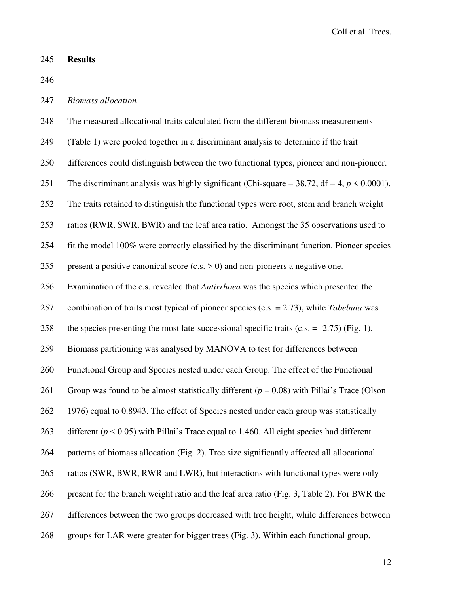### 245 **Results**

246

## 247 *Biomass allocation*

248 The measured allocational traits calculated from the different biomass measurements

- 249 (Table 1) were pooled together in a discriminant analysis to determine if the trait
- 250 differences could distinguish between the two functional types, pioneer and non-pioneer.

251 The discriminant analysis was highly significant (Chi-square =  $38.72$ , df =  $4, p \le 0.0001$ ).

252 The traits retained to distinguish the functional types were root, stem and branch weight

253 ratios (RWR, SWR, BWR) and the leaf area ratio. Amongst the 35 observations used to

254 fit the model 100% were correctly classified by the discriminant function. Pioneer species

255 present a positive canonical score  $(c.s. > 0)$  and non-pioneers a negative one.

256 Examination of the c.s. revealed that *Antirrhoea* was the species which presented the

257 combination of traits most typical of pioneer species (c.s. = 2.73), while *Tabebuia* was

258 the species presenting the most late-successional specific traits  $(c.s. = -2.75)$  (Fig. 1).

259 Biomass partitioning was analysed by MANOVA to test for differences between

260 Functional Group and Species nested under each Group. The effect of the Functional

261 Group was found to be almost statistically different (*p* = 0.08) with Pillai's Trace (Olson

262 1976) equal to 0.8943. The effect of Species nested under each group was statistically

263 different ( $p < 0.05$ ) with Pillai's Trace equal to 1.460. All eight species had different

264 patterns of biomass allocation (Fig. 2). Tree size significantly affected all allocational

265 ratios (SWR, BWR, RWR and LWR), but interactions with functional types were only

266 present for the branch weight ratio and the leaf area ratio (Fig. 3, Table 2). For BWR the

267 differences between the two groups decreased with tree height, while differences between

268 groups for LAR were greater for bigger trees (Fig. 3). Within each functional group,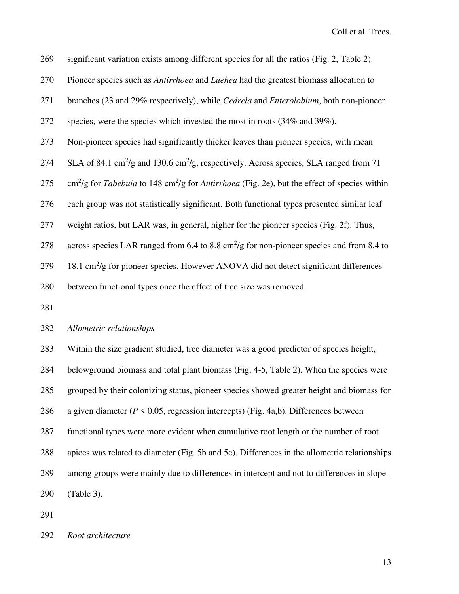269 significant variation exists among different species for all the ratios (Fig. 2, Table 2).

- 270 Pioneer species such as *Antirrhoea* and *Luehea* had the greatest biomass allocation to
- 271 branches (23 and 29% respectively), while *Cedrela* and *Enterolobium*, both non-pioneer

272 species, were the species which invested the most in roots (34% and 39%).

- 273 Non-pioneer species had significantly thicker leaves than pioneer species, with mean
- 274 SLA of 84.1 cm<sup>2</sup>/g and 130.6 cm<sup>2</sup>/g, respectively. Across species, SLA ranged from 71
- 275  $\text{cm}^2/\text{g}$  for *Tabebuia* to 148 cm<sup>2</sup>/g for *Antirrhoea* (Fig. 2e), but the effect of species within

276 each group was not statistically significant. Both functional types presented similar leaf

277 weight ratios, but LAR was, in general, higher for the pioneer species (Fig. 2f). Thus,

278 across species LAR ranged from 6.4 to 8.8 cm<sup>2</sup>/g for non-pioneer species and from 8.4 to

279 18.1 cm<sup>2</sup>/g for pioneer species. However ANOVA did not detect significant differences

280 between functional types once the effect of tree size was removed.

281

#### 282 *Allometric relationships*

283 Within the size gradient studied, tree diameter was a good predictor of species height, 284 belowground biomass and total plant biomass (Fig. 4-5, Table 2). When the species were 285 grouped by their colonizing status, pioneer species showed greater height and biomass for 286 a given diameter ( $P \le 0.05$ , regression intercepts) (Fig. 4a,b). Differences between 287 functional types were more evident when cumulative root length or the number of root 288 apices was related to diameter (Fig. 5b and 5c). Differences in the allometric relationships 289 among groups were mainly due to differences in intercept and not to differences in slope 290 (Table 3).

291

292 *Root architecture*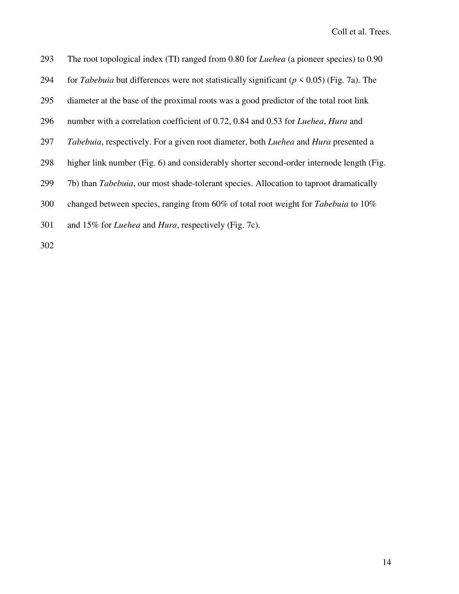| 293 | The root topological index (TI) ranged from 0.80 for <i>Luehea</i> (a pioneer species) to 0.90            |
|-----|-----------------------------------------------------------------------------------------------------------|
| 294 | for <i>Tabebuia</i> but differences were not statistically significant ( $p \le 0.05$ ) (Fig. 7a). The    |
| 295 | diameter at the base of the proximal roots was a good predictor of the total root link                    |
| 296 | number with a correlation coefficient of 0.72, 0.84 and 0.53 for <i>Luehea</i> , <i>Hura</i> and          |
| 297 | <i>Tabebuia</i> , respectively. For a given root diameter, both <i>Luehea</i> and <i>Hura</i> presented a |
| 298 | higher link number (Fig. 6) and considerably shorter second-order internode length (Fig.                  |
| 299 | 7b) than <i>Tabebuia</i> , our most shade-tolerant species. Allocation to taproot dramatically            |
| 300 | changed between species, ranging from 60% of total root weight for Tabebuia to 10%                        |
| 301 | and 15% for <i>Luehea</i> and <i>Hura</i> , respectively (Fig. 7c).                                       |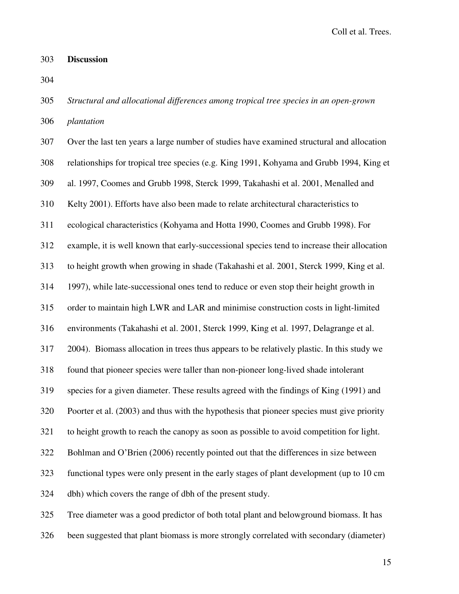### 303 **Discussion**

304

306 *plantation*  307 Over the last ten years a large number of studies have examined structural and allocation 308 relationships for tropical tree species (e.g. King 1991, Kohyama and Grubb 1994, King et 309 al. 1997, Coomes and Grubb 1998, Sterck 1999, Takahashi et al. 2001, Menalled and 310 Kelty 2001). Efforts have also been made to relate architectural characteristics to 311 ecological characteristics (Kohyama and Hotta 1990, Coomes and Grubb 1998). For 312 example, it is well known that early-successional species tend to increase their allocation 313 to height growth when growing in shade (Takahashi et al. 2001, Sterck 1999, King et al. 314 1997), while late-successional ones tend to reduce or even stop their height growth in 315 order to maintain high LWR and LAR and minimise construction costs in light-limited 316 environments (Takahashi et al. 2001, Sterck 1999, King et al. 1997, Delagrange et al. 317 2004). Biomass allocation in trees thus appears to be relatively plastic. In this study we 318 found that pioneer species were taller than non-pioneer long-lived shade intolerant 319 species for a given diameter. These results agreed with the findings of King (1991) and 320 Poorter et al. (2003) and thus with the hypothesis that pioneer species must give priority 321 to height growth to reach the canopy as soon as possible to avoid competition for light. 322 Bohlman and O'Brien (2006) recently pointed out that the differences in size between 323 functional types were only present in the early stages of plant development (up to 10 cm 324 dbh) which covers the range of dbh of the present study. 325 Tree diameter was a good predictor of both total plant and belowground biomass. It has 326 been suggested that plant biomass is more strongly correlated with secondary (diameter)

305 *Structural and allocational differences among tropical tree species in an open-grown*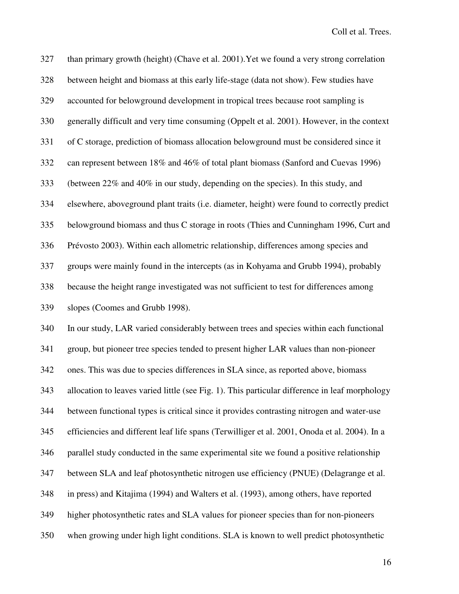327 than primary growth (height) (Chave et al. 2001).Yet we found a very strong correlation 328 between height and biomass at this early life-stage (data not show). Few studies have 329 accounted for belowground development in tropical trees because root sampling is 330 generally difficult and very time consuming (Oppelt et al. 2001). However, in the context 331 of C storage, prediction of biomass allocation belowground must be considered since it 332 can represent between 18% and 46% of total plant biomass (Sanford and Cuevas 1996) 333 (between 22% and 40% in our study, depending on the species). In this study, and 334 elsewhere, aboveground plant traits (i.e. diameter, height) were found to correctly predict 335 belowground biomass and thus C storage in roots (Thies and Cunningham 1996, Curt and 336 Prévosto 2003). Within each allometric relationship, differences among species and 337 groups were mainly found in the intercepts (as in Kohyama and Grubb 1994), probably 338 because the height range investigated was not sufficient to test for differences among 339 slopes (Coomes and Grubb 1998). 340 In our study, LAR varied considerably between trees and species within each functional 341 group, but pioneer tree species tended to present higher LAR values than non-pioneer 342 ones. This was due to species differences in SLA since, as reported above, biomass 343 allocation to leaves varied little (see Fig. 1). This particular difference in leaf morphology 344 between functional types is critical since it provides contrasting nitrogen and water-use 345 efficiencies and different leaf life spans (Terwilliger et al. 2001, Onoda et al. 2004). In a 346 parallel study conducted in the same experimental site we found a positive relationship 347 between SLA and leaf photosynthetic nitrogen use efficiency (PNUE) (Delagrange et al. 348 in press) and Kitajima (1994) and Walters et al. (1993), among others, have reported 349 higher photosynthetic rates and SLA values for pioneer species than for non-pioneers 350 when growing under high light conditions. SLA is known to well predict photosynthetic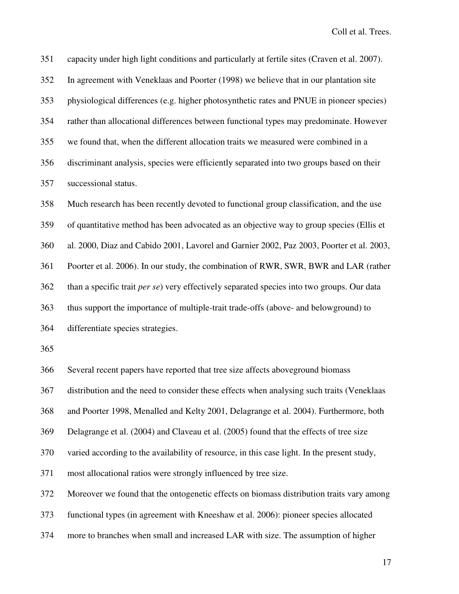351 capacity under high light conditions and particularly at fertile sites (Craven et al. 2007). 352 In agreement with Veneklaas and Poorter (1998) we believe that in our plantation site 353 physiological differences (e.g. higher photosynthetic rates and PNUE in pioneer species) 354 rather than allocational differences between functional types may predominate. However 355 we found that, when the different allocation traits we measured were combined in a 356 discriminant analysis, species were efficiently separated into two groups based on their 357 successional status. 358 Much research has been recently devoted to functional group classification, and the use 359 of quantitative method has been advocated as an objective way to group species (Ellis et 360 al. 2000, Diaz and Cabido 2001, Lavorel and Garnier 2002, Paz 2003, Poorter et al. 2003, 361 Poorter et al. 2006). In our study, the combination of RWR, SWR, BWR and LAR (rather 362 than a specific trait *per se*) very effectively separated species into two groups. Our data 363 thus support the importance of multiple-trait trade-offs (above- and belowground) to 364 differentiate species strategies.

365

366 Several recent papers have reported that tree size affects aboveground biomass

367 distribution and the need to consider these effects when analysing such traits (Veneklaas

368 and Poorter 1998, Menalled and Kelty 2001, Delagrange et al. 2004). Furthermore, both

369 Delagrange et al. (2004) and Claveau et al. (2005) found that the effects of tree size

370 varied according to the availability of resource, in this case light. In the present study,

371 most allocational ratios were strongly influenced by tree size.

372 Moreover we found that the ontogenetic effects on biomass distribution traits vary among

373 functional types (in agreement with Kneeshaw et al. 2006): pioneer species allocated

374 more to branches when small and increased LAR with size. The assumption of higher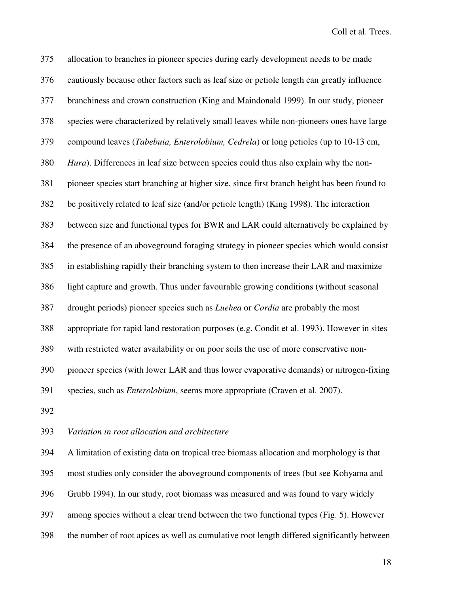375 allocation to branches in pioneer species during early development needs to be made 376 cautiously because other factors such as leaf size or petiole length can greatly influence 377 branchiness and crown construction (King and Maindonald 1999). In our study, pioneer 378 species were characterized by relatively small leaves while non-pioneers ones have large 379 compound leaves (*Tabebuia, Enterolobium, Cedrela*) or long petioles (up to 10-13 cm, 380 *Hura*). Differences in leaf size between species could thus also explain why the non-381 pioneer species start branching at higher size, since first branch height has been found to 382 be positively related to leaf size (and/or petiole length) (King 1998). The interaction 383 between size and functional types for BWR and LAR could alternatively be explained by 384 the presence of an aboveground foraging strategy in pioneer species which would consist 385 in establishing rapidly their branching system to then increase their LAR and maximize 386 light capture and growth. Thus under favourable growing conditions (without seasonal 387 drought periods) pioneer species such as *Luehea* or *Cordia* are probably the most 388 appropriate for rapid land restoration purposes (e.g. Condit et al. 1993). However in sites 389 with restricted water availability or on poor soils the use of more conservative non-390 pioneer species (with lower LAR and thus lower evaporative demands) or nitrogen-fixing 391 species, such as *Enterolobium*, seems more appropriate (Craven et al. 2007). 392

#### 393 *Variation in root allocation and architecture*

394 A limitation of existing data on tropical tree biomass allocation and morphology is that 395 most studies only consider the aboveground components of trees (but see Kohyama and 396 Grubb 1994). In our study, root biomass was measured and was found to vary widely 397 among species without a clear trend between the two functional types (Fig. 5). However 398 the number of root apices as well as cumulative root length differed significantly between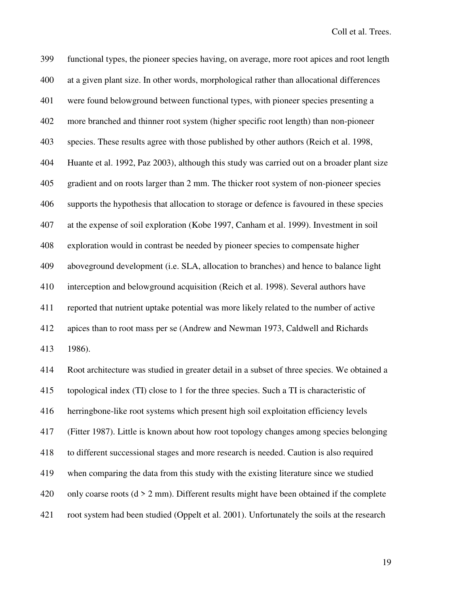399 functional types, the pioneer species having, on average, more root apices and root length 400 at a given plant size. In other words, morphological rather than allocational differences 401 were found belowground between functional types, with pioneer species presenting a 402 more branched and thinner root system (higher specific root length) than non-pioneer 403 species. These results agree with those published by other authors (Reich et al. 1998, 404 Huante et al. 1992, Paz 2003), although this study was carried out on a broader plant size 405 gradient and on roots larger than 2 mm. The thicker root system of non-pioneer species 406 supports the hypothesis that allocation to storage or defence is favoured in these species 407 at the expense of soil exploration (Kobe 1997, Canham et al. 1999). Investment in soil 408 exploration would in contrast be needed by pioneer species to compensate higher 409 aboveground development (i.e. SLA, allocation to branches) and hence to balance light 410 interception and belowground acquisition (Reich et al. 1998). Several authors have 411 reported that nutrient uptake potential was more likely related to the number of active 412 apices than to root mass per se (Andrew and Newman 1973, Caldwell and Richards 413 1986). 414 Root architecture was studied in greater detail in a subset of three species. We obtained a 415 topological index (TI) close to 1 for the three species. Such a TI is characteristic of 416 herringbone-like root systems which present high soil exploitation efficiency levels 417 (Fitter 1987). Little is known about how root topology changes among species belonging 418 to different successional stages and more research is needed. Caution is also required 419 when comparing the data from this study with the existing literature since we studied 420 only coarse roots  $(d > 2$  mm). Different results might have been obtained if the complete 421 root system had been studied (Oppelt et al. 2001). Unfortunately the soils at the research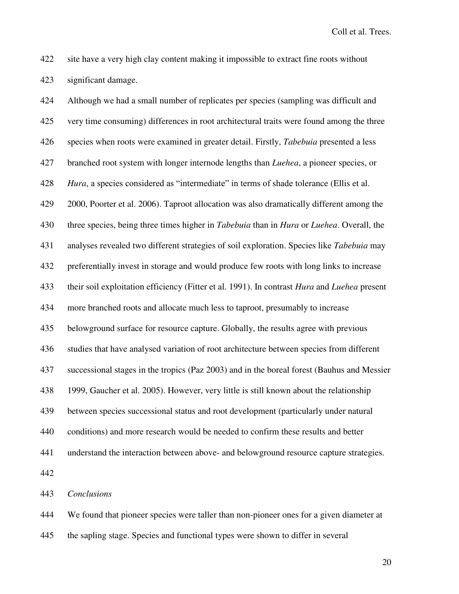422 site have a very high clay content making it impossible to extract fine roots without 423 significant damage.

424 Although we had a small number of replicates per species (sampling was difficult and 425 very time consuming) differences in root architectural traits were found among the three 426 species when roots were examined in greater detail. Firstly, *Tabebuia* presented a less 427 branched root system with longer internode lengths than *Luehea*, a pioneer species, or 428 *Hura*, a species considered as "intermediate" in terms of shade tolerance (Ellis et al. 429 2000, Poorter et al. 2006). Taproot allocation was also dramatically different among the 430 three species, being three times higher in *Tabebuia* than in *Hura* or *Luehea*. Overall, the 431 analyses revealed two different strategies of soil exploration. Species like *Tabebuia* may 432 preferentially invest in storage and would produce few roots with long links to increase 433 their soil exploitation efficiency (Fitter et al. 1991). In contrast *Hura* and *Luehea* present 434 more branched roots and allocate much less to taproot, presumably to increase 435 belowground surface for resource capture. Globally, the results agree with previous 436 studies that have analysed variation of root architecture between species from different 437 successional stages in the tropics (Paz 2003) and in the boreal forest (Bauhus and Messier 438 1999, Gaucher et al. 2005). However, very little is still known about the relationship 439 between species successional status and root development (particularly under natural 440 conditions) and more research would be needed to confirm these results and better 441 understand the interaction between above- and belowground resource capture strategies. 442 443 *Conclusions* 

444 We found that pioneer species were taller than non-pioneer ones for a given diameter at

445 the sapling stage. Species and functional types were shown to differ in several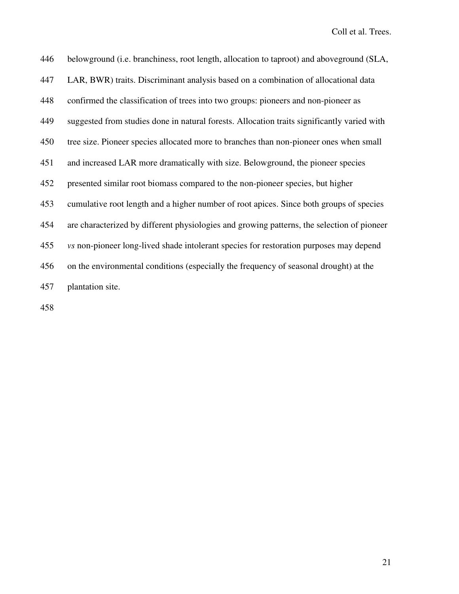| 446 | belowground (i.e. branchiness, root length, allocation to taproot) and aboveground (SLA,      |
|-----|-----------------------------------------------------------------------------------------------|
| 447 | LAR, BWR) traits. Discriminant analysis based on a combination of allocational data           |
| 448 | confirmed the classification of trees into two groups: pioneers and non-pioneer as            |
| 449 | suggested from studies done in natural forests. Allocation traits significantly varied with   |
| 450 | tree size. Pioneer species allocated more to branches than non-pioneer ones when small        |
| 451 | and increased LAR more dramatically with size. Belowground, the pioneer species               |
| 452 | presented similar root biomass compared to the non-pioneer species, but higher                |
| 453 | cumulative root length and a higher number of root apices. Since both groups of species       |
| 454 | are characterized by different physiologies and growing patterns, the selection of pioneer    |
| 455 | <i>vs</i> non-pioneer long-lived shade intolerant species for restoration purposes may depend |
| 456 | on the environmental conditions (especially the frequency of seasonal drought) at the         |
| 457 | plantation site.                                                                              |
|     |                                                                                               |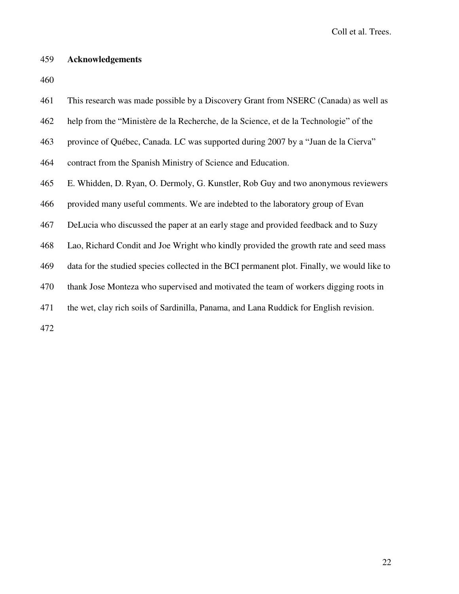# 459 **Acknowledgements**

460

| 461 | This research was made possible by a Discovery Grant from NSERC (Canada) as well as         |
|-----|---------------------------------------------------------------------------------------------|
| 462 | help from the "Ministère de la Recherche, de la Science, et de la Technologie" of the       |
| 463 | province of Québec, Canada. LC was supported during 2007 by a "Juan de la Cierva"           |
| 464 | contract from the Spanish Ministry of Science and Education.                                |
| 465 | E. Whidden, D. Ryan, O. Dermoly, G. Kunstler, Rob Guy and two anonymous reviewers           |
| 466 | provided many useful comments. We are indebted to the laboratory group of Evan              |
| 467 | DeLucia who discussed the paper at an early stage and provided feedback and to Suzy         |
| 468 | Lao, Richard Condit and Joe Wright who kindly provided the growth rate and seed mass        |
| 469 | data for the studied species collected in the BCI permanent plot. Finally, we would like to |
| 470 | thank Jose Monteza who supervised and motivated the team of workers digging roots in        |
| 471 | the wet, clay rich soils of Sardinilla, Panama, and Lana Ruddick for English revision.      |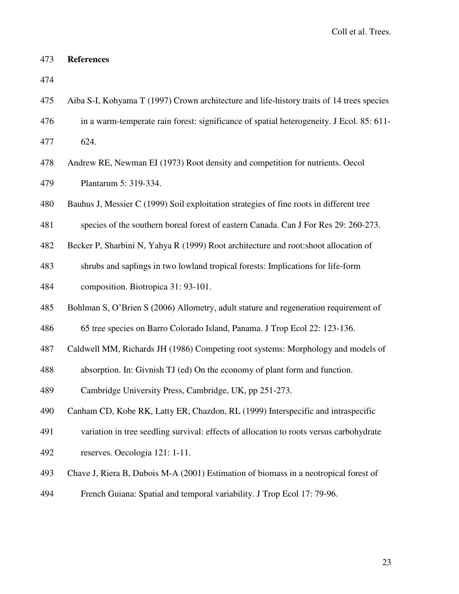## 473 **References**

| 474 |                                                                                           |
|-----|-------------------------------------------------------------------------------------------|
| 475 | Aiba S-I, Kohyama T (1997) Crown architecture and life-history traits of 14 trees species |
| 476 | in a warm-temperate rain forest: significance of spatial heterogeneity. J Ecol. 85: 611-  |
| 477 | 624.                                                                                      |
| 478 | Andrew RE, Newman EI (1973) Root density and competition for nutrients. Oecol             |
| 479 | Plantarum 5: 319-334.                                                                     |
| 480 | Bauhus J, Messier C (1999) Soil exploitation strategies of fine roots in different tree   |
| 481 | species of the southern boreal forest of eastern Canada. Can J For Res 29: 260-273.       |
| 482 | Becker P, Sharbini N, Yahya R (1999) Root architecture and root: shoot allocation of      |
| 483 | shrubs and saplings in two lowland tropical forests: Implications for life-form           |
| 484 | composition. Biotropica 31: 93-101.                                                       |
| 485 | Bohlman S, O'Brien S (2006) Allometry, adult stature and regeneration requirement of      |
| 486 | 65 tree species on Barro Colorado Island, Panama. J Trop Ecol 22: 123-136.                |
| 487 | Caldwell MM, Richards JH (1986) Competing root systems: Morphology and models of          |
| 488 | absorption. In: Givnish TJ (ed) On the economy of plant form and function.                |
| 489 | Cambridge University Press, Cambridge, UK, pp 251-273.                                    |
| 490 | Canham CD, Kobe RK, Latty ER, Chazdon, RL (1999) Interspecific and intraspecific          |
| 491 | variation in tree seedling survival: effects of allocation to roots versus carbohydrate   |
| 492 | reserves. Oecologia 121: 1-11.                                                            |
| 493 | Chave J, Riera B, Dubois M-A (2001) Estimation of biomass in a neotropical forest of      |
| 494 | French Guiana: Spatial and temporal variability. J Trop Ecol 17: 79-96.                   |
|     |                                                                                           |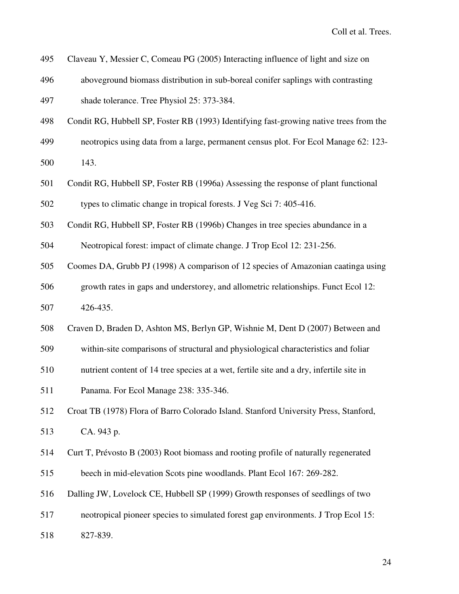- 495 Claveau Y, Messier C, Comeau PG (2005) Interacting influence of light and size on
- 496 aboveground biomass distribution in sub-boreal conifer saplings with contrasting
- 497 shade tolerance. Tree Physiol 25: 373-384.
- 498 Condit RG, Hubbell SP, Foster RB (1993) Identifying fast-growing native trees from the
- 499 neotropics using data from a large, permanent census plot. For Ecol Manage 62: 123-
- 500 143.
- 501 Condit RG, Hubbell SP, Foster RB (1996a) Assessing the response of plant functional
- 502 types to climatic change in tropical forests. J Veg Sci 7: 405-416.
- 503 Condit RG, Hubbell SP, Foster RB (1996b) Changes in tree species abundance in a
- 504 Neotropical forest: impact of climate change. J Trop Ecol 12: 231-256.
- 505 Coomes DA, Grubb PJ (1998) A comparison of 12 species of Amazonian caatinga using
- 506 growth rates in gaps and understorey, and allometric relationships. Funct Ecol 12: 507 426-435.
- 508 Craven D, Braden D, Ashton MS, Berlyn GP, Wishnie M, Dent D (2007) Between and
- 509 within-site comparisons of structural and physiological characteristics and foliar
- 510 nutrient content of 14 tree species at a wet, fertile site and a dry, infertile site in
- 511 Panama. For Ecol Manage 238: 335-346.
- 512 Croat TB (1978) Flora of Barro Colorado Island. Stanford University Press, Stanford,
- 513 CA. 943 p.
- 514 Curt T, Prévosto B (2003) Root biomass and rooting profile of naturally regenerated
- 515 beech in mid-elevation Scots pine woodlands. Plant Ecol 167: 269-282.
- 516 Dalling JW, Lovelock CE, Hubbell SP (1999) Growth responses of seedlings of two
- 517 neotropical pioneer species to simulated forest gap environments. J Trop Ecol 15:
- 518 827-839.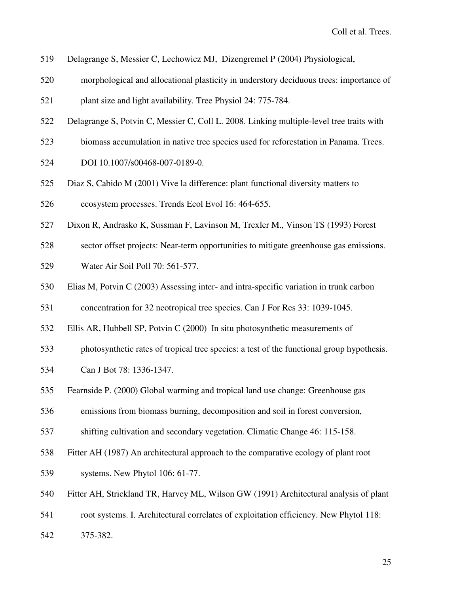- 519 Delagrange S, Messier C, Lechowicz MJ, Dizengremel P (2004) Physiological,
- 520 morphological and allocational plasticity in understory deciduous trees: importance of
- 521 plant size and light availability. Tree Physiol 24: 775-784.
- 522 Delagrange S, Potvin C, Messier C, Coll L. 2008. Linking multiple-level tree traits with
- 523 biomass accumulation in native tree species used for reforestation in Panama. Trees.
- 524 DOI 10.1007/s00468-007-0189-0.
- 525 Diaz S, Cabido M (2001) Vive la difference: plant functional diversity matters to
- 526 ecosystem processes. Trends Ecol Evol 16: 464-655.
- 527 Dixon R, Andrasko K, Sussman F, Lavinson M, Trexler M., Vinson TS (1993) Forest
- 528 sector offset projects: Near-term opportunities to mitigate greenhouse gas emissions.
- 529 Water Air Soil Poll 70: 561-577.
- 530 Elias M, Potvin C (2003) Assessing inter- and intra-specific variation in trunk carbon

531 concentration for 32 neotropical tree species. Can J For Res 33: 1039-1045.

- 532 Ellis AR, Hubbell SP, Potvin C (2000) In situ photosynthetic measurements of
- 533 photosynthetic rates of tropical tree species: a test of the functional group hypothesis.
- 534 Can J Bot 78: 1336-1347.
- 535 Fearnside P. (2000) Global warming and tropical land use change: Greenhouse gas
- 536 emissions from biomass burning, decomposition and soil in forest conversion,
- 537 shifting cultivation and secondary vegetation. Climatic Change 46: 115-158.
- 538 Fitter AH (1987) An architectural approach to the comparative ecology of plant root
- 539 systems. New Phytol 106: 61-77.
- 540 Fitter AH, Strickland TR, Harvey ML, Wilson GW (1991) Architectural analysis of plant
- 541 root systems. I. Architectural correlates of exploitation efficiency. New Phytol 118:
- 542 375-382.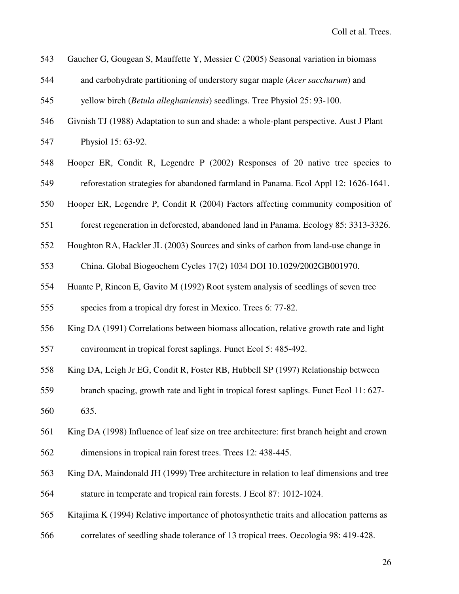| 543 | Gaucher G, Gougean S, Mauffette Y, Messier C (2005) Seasonal variation in biomass         |
|-----|-------------------------------------------------------------------------------------------|
| 544 | and carbohydrate partitioning of understory sugar maple (Acer saccharum) and              |
| 545 | yellow birch (Betula alleghaniensis) seedlings. Tree Physiol 25: 93-100.                  |
| 546 | Givnish TJ (1988) Adaptation to sun and shade: a whole-plant perspective. Aust J Plant    |
| 547 | Physiol 15: 63-92.                                                                        |
| 548 | Hooper ER, Condit R, Legendre P (2002) Responses of 20 native tree species to             |
| 549 | reforestation strategies for abandoned farmland in Panama. Ecol Appl 12: 1626-1641.       |
| 550 | Hooper ER, Legendre P, Condit R (2004) Factors affecting community composition of         |
| 551 | forest regeneration in deforested, abandoned land in Panama. Ecology 85: 3313-3326.       |
| 552 | Houghton RA, Hackler JL (2003) Sources and sinks of carbon from land-use change in        |
| 553 | China. Global Biogeochem Cycles 17(2) 1034 DOI 10.1029/2002GB001970.                      |
| 554 | Huante P, Rincon E, Gavito M (1992) Root system analysis of seedlings of seven tree       |
| 555 | species from a tropical dry forest in Mexico. Trees 6: 77-82.                             |
| 556 | King DA (1991) Correlations between biomass allocation, relative growth rate and light    |
| 557 | environment in tropical forest saplings. Funct Ecol 5: 485-492.                           |
| 558 | King DA, Leigh Jr EG, Condit R, Foster RB, Hubbell SP (1997) Relationship between         |
| 559 | branch spacing, growth rate and light in tropical forest saplings. Funct Ecol 11: 627-    |
| 560 | 635.                                                                                      |
| 561 | King DA (1998) Influence of leaf size on tree architecture: first branch height and crown |
| 562 | dimensions in tropical rain forest trees. Trees 12: 438-445.                              |
| 563 | King DA, Maindonald JH (1999) Tree architecture in relation to leaf dimensions and tree   |
| 564 | stature in temperate and tropical rain forests. J Ecol 87: 1012-1024.                     |
| 565 | Kitajima K (1994) Relative importance of photosynthetic traits and allocation patterns as |
| 566 | correlates of seedling shade tolerance of 13 tropical trees. Oecologia 98: 419-428.       |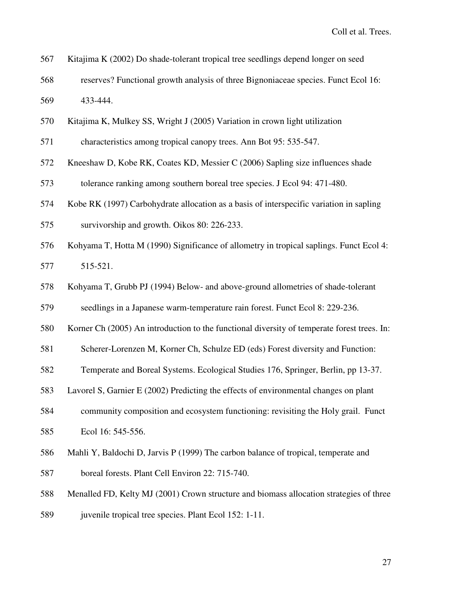- 567 Kitajima K (2002) Do shade-tolerant tropical tree seedlings depend longer on seed
- 568 reserves? Functional growth analysis of three Bignoniaceae species. Funct Ecol 16: 569 433-444.
- 570 Kitajima K, Mulkey SS, Wright J (2005) Variation in crown light utilization
- 571 characteristics among tropical canopy trees. Ann Bot 95: 535-547.
- 572 Kneeshaw D, Kobe RK, Coates KD, Messier C (2006) Sapling size influences shade
- 573 tolerance ranking among southern boreal tree species. J Ecol 94: 471-480.
- 574 Kobe RK (1997) Carbohydrate allocation as a basis of interspecific variation in sapling
- 575 survivorship and growth. Oikos 80: 226-233.
- 576 Kohyama T, Hotta M (1990) Significance of allometry in tropical saplings. Funct Ecol 4: 577 515-521.
- 578 Kohyama T, Grubb PJ (1994) Below- and above-ground allometries of shade-tolerant

579 seedlings in a Japanese warm-temperature rain forest. Funct Ecol 8: 229-236.

- 580 Korner Ch (2005) An introduction to the functional diversity of temperate forest trees. In:
- 581 Scherer-Lorenzen M, Korner Ch, Schulze ED (eds) Forest diversity and Function:
- 582 Temperate and Boreal Systems. Ecological Studies 176, Springer, Berlin, pp 13-37.
- 583 Lavorel S, Garnier E (2002) Predicting the effects of environmental changes on plant
- 584 community composition and ecosystem functioning: revisiting the Holy grail. Funct 585 Ecol 16: 545-556.
- 586 Mahli Y, Baldochi D, Jarvis P (1999) The carbon balance of tropical, temperate and
- 587 boreal forests. Plant Cell Environ 22: 715-740.
- 588 Menalled FD, Kelty MJ (2001) Crown structure and biomass allocation strategies of three
- 589 juvenile tropical tree species. Plant Ecol 152: 1-11.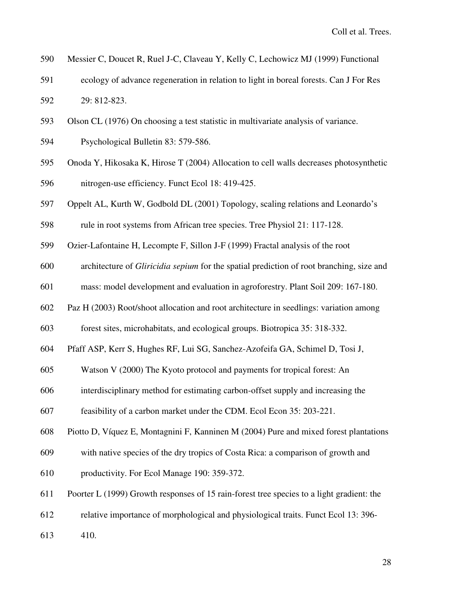- 590 Messier C, Doucet R, Ruel J-C, Claveau Y, Kelly C, Lechowicz MJ (1999) Functional
- 591 ecology of advance regeneration in relation to light in boreal forests. Can J For Res 592 29: 812-823.
- 593 Olson CL (1976) On choosing a test statistic in multivariate analysis of variance.
- 594 Psychological Bulletin 83: 579-586.
- 595 Onoda Y, Hikosaka K, Hirose T (2004) Allocation to cell walls decreases photosynthetic 596 nitrogen-use efficiency. Funct Ecol 18: 419-425.
- 597 Oppelt AL, Kurth W, Godbold DL (2001) Topology, scaling relations and Leonardo's
- 598 rule in root systems from African tree species. Tree Physiol 21: 117-128.
- 599 Ozier-Lafontaine H, Lecompte F, Sillon J-F (1999) Fractal analysis of the root
- 600 architecture of *Gliricidia sepium* for the spatial prediction of root branching, size and
- 601 mass: model development and evaluation in agroforestry. Plant Soil 209: 167-180.
- 602 Paz H (2003) Root/shoot allocation and root architecture in seedlings: variation among

603 forest sites, microhabitats, and ecological groups. Biotropica 35: 318-332.

- 604 Pfaff ASP, Kerr S, Hughes RF, Lui SG, Sanchez-Azofeifa GA, Schimel D, Tosi J,
- 605 Watson V (2000) The Kyoto protocol and payments for tropical forest: An
- 606 interdisciplinary method for estimating carbon-offset supply and increasing the
- 607 feasibility of a carbon market under the CDM. Ecol Econ 35: 203-221.
- 608 Piotto D, Víquez E, Montagnini F, Kanninen M (2004) Pure and mixed forest plantations
- 609 with native species of the dry tropics of Costa Rica: a comparison of growth and
- 610 productivity. For Ecol Manage 190: 359-372.
- 611 Poorter L (1999) Growth responses of 15 rain-forest tree species to a light gradient: the
- 612 relative importance of morphological and physiological traits. Funct Ecol 13: 396-
- 613 410.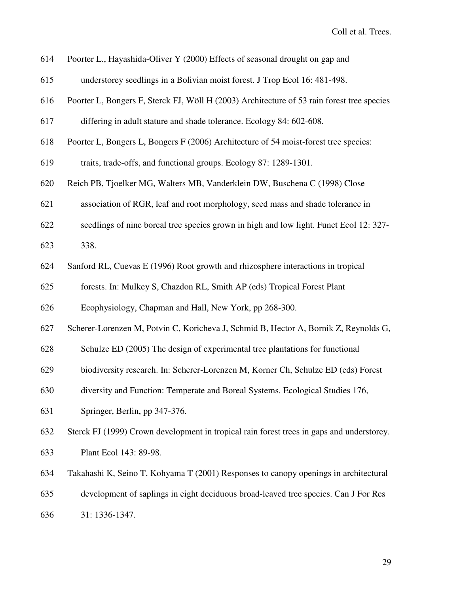614 Poorter L., Hayashida-Oliver Y (2000) Effects of seasonal drought on gap and

- 615 understorey seedlings in a Bolivian moist forest. J Trop Ecol 16: 481-498.
- 616 Poorter L, Bongers F, Sterck FJ, Wöll H (2003) Architecture of 53 rain forest tree species
- 617 differing in adult stature and shade tolerance. Ecology 84: 602-608.
- 618 Poorter L, Bongers L, Bongers F (2006) Architecture of 54 moist-forest tree species:
- 619 traits, trade-offs, and functional groups. Ecology 87: 1289-1301.
- 620 Reich PB, Tjoelker MG, Walters MB, Vanderklein DW, Buschena C (1998) Close
- 621 association of RGR, leaf and root morphology, seed mass and shade tolerance in
- 622 seedlings of nine boreal tree species grown in high and low light. Funct Ecol 12: 327-
- 623 338.
- 624 Sanford RL, Cuevas E (1996) Root growth and rhizosphere interactions in tropical
- 625 forests. In: Mulkey S, Chazdon RL, Smith AP (eds) Tropical Forest Plant
- 626 Ecophysiology, Chapman and Hall, New York, pp 268-300.
- 627 Scherer-Lorenzen M, Potvin C, Koricheva J, Schmid B, Hector A, Bornik Z, Reynolds G,
- 628 Schulze ED (2005) The design of experimental tree plantations for functional
- 629 biodiversity research. In: Scherer-Lorenzen M, Korner Ch, Schulze ED (eds) Forest
- 630 diversity and Function: Temperate and Boreal Systems. Ecological Studies 176,
- 631 Springer, Berlin, pp 347-376.
- 632 Sterck FJ (1999) Crown development in tropical rain forest trees in gaps and understorey.
- 633 Plant Ecol 143: 89-98.
- 634 Takahashi K, Seino T, Kohyama T (2001) Responses to canopy openings in architectural
- 635 development of saplings in eight deciduous broad-leaved tree species. Can J For Res
- 636 31: 1336-1347.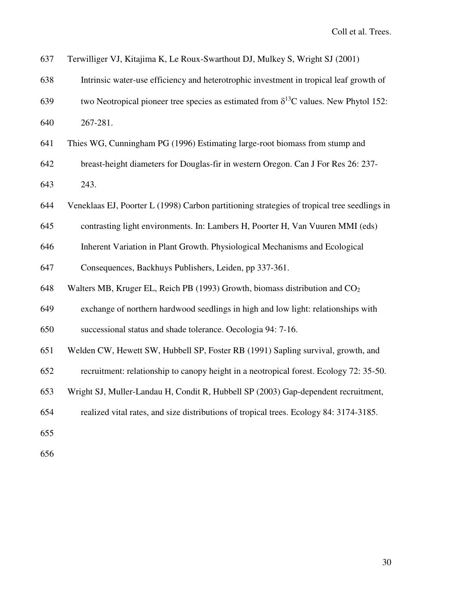| 637 | Terwilliger VJ, Kitajima K, Le Roux-Swarthout DJ, Mulkey S, Wright SJ (2001)                   |
|-----|------------------------------------------------------------------------------------------------|
| 638 | Intrinsic water-use efficiency and heterotrophic investment in tropical leaf growth of         |
| 639 | two Neotropical pioneer tree species as estimated from $\delta^{13}$ C values. New Phytol 152: |
| 640 | 267-281.                                                                                       |
| 641 | Thies WG, Cunningham PG (1996) Estimating large-root biomass from stump and                    |
| 642 | breast-height diameters for Douglas-fir in western Oregon. Can J For Res 26: 237-              |
| 643 | 243.                                                                                           |
| 644 | Veneklaas EJ, Poorter L (1998) Carbon partitioning strategies of tropical tree seedlings in    |
| 645 | contrasting light environments. In: Lambers H, Poorter H, Van Vuuren MMI (eds)                 |
| 646 | Inherent Variation in Plant Growth. Physiological Mechanisms and Ecological                    |
| 647 | Consequences, Backhuys Publishers, Leiden, pp 337-361.                                         |
| 648 | Walters MB, Kruger EL, Reich PB (1993) Growth, biomass distribution and CO <sub>2</sub>        |
| 649 | exchange of northern hardwood seedlings in high and low light: relationships with              |
| 650 | successional status and shade tolerance. Oecologia 94: 7-16.                                   |
| 651 | Welden CW, Hewett SW, Hubbell SP, Foster RB (1991) Sapling survival, growth, and               |
| 652 | recruitment: relationship to canopy height in a neotropical forest. Ecology 72: 35-50.         |
| 653 | Wright SJ, Muller-Landau H, Condit R, Hubbell SP (2003) Gap-dependent recruitment,             |
| 654 | realized vital rates, and size distributions of tropical trees. Ecology 84: 3174-3185.         |
| 655 |                                                                                                |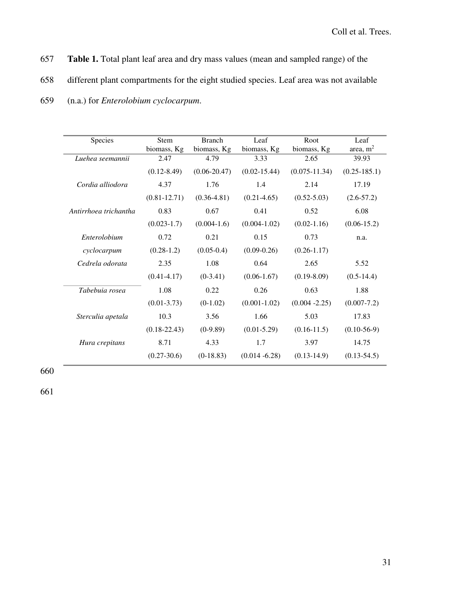- 657 **Table 1.** Total plant leaf area and dry mass values (mean and sampled range) of the
- 658 different plant compartments for the eight studied species. Leaf area was not available

| <b>Species</b>        | Stem             | <b>Branch</b>    | Leaf             | Root              | Leaf              |
|-----------------------|------------------|------------------|------------------|-------------------|-------------------|
|                       | biomass, Kg      | biomass, Kg      | biomass, Kg      | biomass, Kg       | area, $m2$        |
| Luehea seemannii      | 2.47             | 4.79             | 3.33             | 2.65              | 39.93             |
|                       | $(0.12 - 8.49)$  | $(0.06 - 20.47)$ | $(0.02 - 15.44)$ | $(0.075 - 11.34)$ | $(0.25 - 185.1)$  |
| Cordia alliodora      | 4.37             | 1.76             | 1.4              | 2.14              | 17.19             |
|                       | $(0.81 - 12.71)$ | $(0.36 - 4.81)$  | $(0.21 - 4.65)$  | $(0.52 - 5.03)$   | $(2.6 - 57.2)$    |
| Antirrhoea trichantha | 0.83             | 0.67             | 0.41             | 0.52              | 6.08              |
|                       | $(0.023 - 1.7)$  | $(0.004-1.6)$    | $(0.004 - 1.02)$ | $(0.02 - 1.16)$   | $(0.06 - 15.2)$   |
| Enterolobium          | 0.72             | 0.21             | 0.15             | 0.73              | n.a.              |
| cyclocarpum           | $(0.28-1.2)$     | $(0.05-0.4)$     | $(0.09 - 0.26)$  | $(0.26 - 1.17)$   |                   |
| Cedrela odorata       | 2.35             | 1.08             | 0.64             | 2.65              | 5.52              |
|                       | $(0.41 - 4.17)$  | $(0-3.41)$       | $(0.06-1.67)$    | $(0.19 - 8.09)$   | $(0.5-14.4)$      |
| Tabebuia rosea        | 1.08             | 0.22             | 0.26             | 0.63              | 1.88              |
|                       | $(0.01 - 3.73)$  | $(0-1.02)$       | $(0.001 - 1.02)$ | $(0.004 - 2.25)$  | $(0.007 - 7.2)$   |
| Sterculia apetala     | 10.3             | 3.56             | 1.66             | 5.03              | 17.83             |
|                       | $(0.18 - 22.43)$ | $(0-9.89)$       | $(0.01 - 5.29)$  | $(0.16 - 11.5)$   | $(0.10 - 56 - 9)$ |
| Hura crepitans        | 8.71             | 4.33             | 1.7              | 3.97              | 14.75             |
|                       | $(0.27 - 30.6)$  | $(0-18.83)$      | $(0.014 - 6.28)$ | $(0.13 - 14.9)$   | $(0.13 - 54.5)$   |

659 (n.a.) for *Enterolobium cyclocarpum*.

660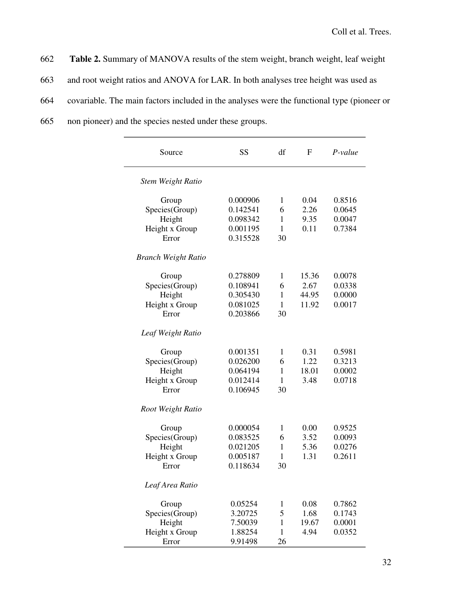662 **Table 2.** Summary of MANOVA results of the stem weight, branch weight, leaf weight

663 and root weight ratios and ANOVA for LAR. In both analyses tree height was used as

664 covariable. The main factors included in the analyses were the functional type (pioneer or

665 non pioneer) and the species nested under these groups.

| Source                     | SS       | df           | $\mathbf F$ | $P-value$ |
|----------------------------|----------|--------------|-------------|-----------|
| <b>Stem Weight Ratio</b>   |          |              |             |           |
| Group                      | 0.000906 | $\mathbf{1}$ | 0.04        | 0.8516    |
| Species(Group)             | 0.142541 | 6            | 2.26        | 0.0645    |
| Height                     | 0.098342 | $\mathbf{1}$ | 9.35        | 0.0047    |
| Height x Group             | 0.001195 | $\mathbf{1}$ | 0.11        | 0.7384    |
| Error                      | 0.315528 | 30           |             |           |
| <b>Branch Weight Ratio</b> |          |              |             |           |
| Group                      | 0.278809 | 1            | 15.36       | 0.0078    |
| Species(Group)             | 0.108941 | 6            | 2.67        | 0.0338    |
| Height                     | 0.305430 | $\mathbf{1}$ | 44.95       | 0.0000    |
| Height x Group             | 0.081025 | $\mathbf{1}$ | 11.92       | 0.0017    |
| Error                      | 0.203866 | 30           |             |           |
| Leaf Weight Ratio          |          |              |             |           |
| Group                      | 0.001351 | 1            | 0.31        | 0.5981    |
| Species(Group)             | 0.026200 | 6            | 1.22        | 0.3213    |
| Height                     | 0.064194 | $\mathbf{1}$ | 18.01       | 0.0002    |
| Height x Group             | 0.012414 | $\mathbf{1}$ | 3.48        | 0.0718    |
| Error                      | 0.106945 | 30           |             |           |
| Root Weight Ratio          |          |              |             |           |
| Group                      | 0.000054 | 1            | 0.00        | 0.9525    |
| Species(Group)             | 0.083525 | 6            | 3.52        | 0.0093    |
| Height                     | 0.021205 | $\mathbf{1}$ | 5.36        | 0.0276    |
| Height x Group             | 0.005187 | 1            | 1.31        | 0.2611    |
| Error                      | 0.118634 | 30           |             |           |
| Leaf Area Ratio            |          |              |             |           |
| Group                      | 0.05254  | 1            | 0.08        | 0.7862    |
| Species(Group)             | 3.20725  | 5            | 1.68        | 0.1743    |
| Height                     | 7.50039  | 1            | 19.67       | 0.0001    |
| Height x Group             | 1.88254  | $\mathbf{1}$ | 4.94        | 0.0352    |
| Error                      | 9.91498  | 26           |             |           |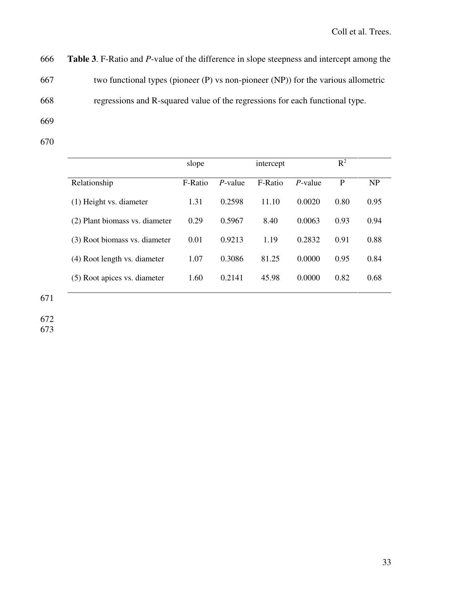666 **Table 3**. F-Ratio and *P*-value of the difference in slope steepness and intercept among the 667 two functional types (pioneer (P) vs non-pioneer (NP)) for the various allometric 668 regressions and R-squared value of the regressions for each functional type.

- 669
- 670

|                                | slope   |            | intercept |         | $\mathbb{R}^2$ |      |
|--------------------------------|---------|------------|-----------|---------|----------------|------|
| Relationship                   | F-Ratio | $P$ -value | F-Ratio   | P-value | P              | NP   |
| (1) Height vs. diameter        | 1.31    | 0.2598     | 11.10     | 0.0020  | 0.80           | 0.95 |
| (2) Plant biomass vs. diameter | 0.29    | 0.5967     | 8.40      | 0.0063  | 0.93           | 0.94 |
| (3) Root biomass vs. diameter  | 0.01    | 0.9213     | 1.19      | 0.2832  | 0.91           | 0.88 |
| (4) Root length vs. diameter   | 1.07    | 0.3086     | 81.25     | 0.0000  | 0.95           | 0.84 |
| (5) Root apices vs. diameter   | 1.60    | 0.2141     | 45.98     | 0.0000  | 0.82           | 0.68 |
|                                |         |            |           |         |                |      |

671

672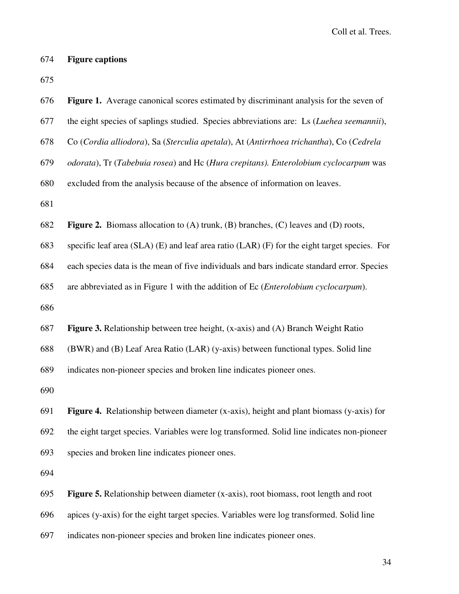# 674 **Figure captions**

675

| 677 | the eight species of saplings studied. Species abbreviations are: Ls (Luehea seemannii),          |
|-----|---------------------------------------------------------------------------------------------------|
| 678 | Co (Cordia alliodora), Sa (Sterculia apetala), At (Antirrhoea trichantha), Co (Cedrela            |
| 679 | odorata), Tr (Tabebuia rosea) and Hc (Hura crepitans). Enterolobium cyclocarpum was               |
| 680 | excluded from the analysis because of the absence of information on leaves.                       |
| 681 |                                                                                                   |
| 682 | <b>Figure 2.</b> Biomass allocation to $(A)$ trunk, $(B)$ branches, $(C)$ leaves and $(D)$ roots, |
| 683 | specific leaf area (SLA) (E) and leaf area ratio (LAR) (F) for the eight target species. For      |
| 684 | each species data is the mean of five individuals and bars indicate standard error. Species       |
| 685 | are abbreviated as in Figure 1 with the addition of Ec ( <i>Enterolobium cyclocarpum</i> ).       |
| 686 |                                                                                                   |
| 687 | <b>Figure 3.</b> Relationship between tree height, (x-axis) and (A) Branch Weight Ratio           |
| 688 | (BWR) and (B) Leaf Area Ratio (LAR) (y-axis) between functional types. Solid line                 |
| 689 | indicates non-pioneer species and broken line indicates pioneer ones.                             |
| 690 |                                                                                                   |
| 691 | Figure 4. Relationship between diameter (x-axis), height and plant biomass (y-axis) for           |
| 692 | the eight target species. Variables were log transformed. Solid line indicates non-pioneer        |
| 693 | species and broken line indicates pioneer ones.                                                   |
| 694 |                                                                                                   |
| 695 | <b>Figure 5.</b> Relationship between diameter (x-axis), root biomass, root length and root       |
| 696 | apices (y-axis) for the eight target species. Variables were log transformed. Solid line          |
| 697 | indicates non-pioneer species and broken line indicates pioneer ones.                             |
|     | 34                                                                                                |

676 **Figure 1.** Average canonical scores estimated by discriminant analysis for the seven of